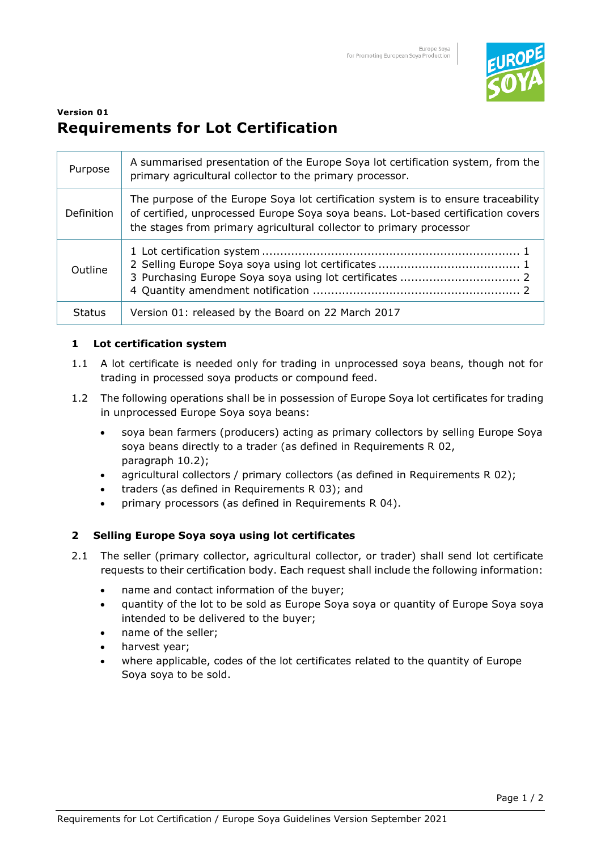

# **Version 01 Requirements for Lot Certification**

| Purpose       | A summarised presentation of the Europe Soya lot certification system, from the<br>primary agricultural collector to the primary processor.                                                                                                  |
|---------------|----------------------------------------------------------------------------------------------------------------------------------------------------------------------------------------------------------------------------------------------|
| Definition    | The purpose of the Europe Soya lot certification system is to ensure traceability<br>of certified, unprocessed Europe Soya soya beans. Lot-based certification covers<br>the stages from primary agricultural collector to primary processor |
| Outline       |                                                                                                                                                                                                                                              |
| <b>Status</b> | Version 01: released by the Board on 22 March 2017                                                                                                                                                                                           |

## **1 Lot certification system**

- 1.1 A lot certificate is needed only for trading in unprocessed soya beans, though not for trading in processed soya products or compound feed.
- 1.2 The following operations shall be in possession of Europe Soya lot certificates for trading in unprocessed Europe Soya soya beans:
	- soya bean farmers (producers) acting as primary collectors by selling Europe Soya soya beans directly to a trader (as defined in Requirements R 02, paragraph 10.2);
	- agricultural collectors / primary collectors (as defined in Requirements R 02);
	- traders (as defined in Requirements R 03); and
	- primary processors (as defined in Requirements R 04).

## **2 Selling Europe Soya soya using lot certificates**

- 2.1 The seller (primary collector, agricultural collector, or trader) shall send lot certificate requests to their certification body. Each request shall include the following information:
	- name and contact information of the buyer;
	- quantity of the lot to be sold as Europe Soya soya or quantity of Europe Soya soya intended to be delivered to the buyer;
	- name of the seller;
	- harvest year;
	- where applicable, codes of the lot certificates related to the quantity of Europe Soya soya to be sold.